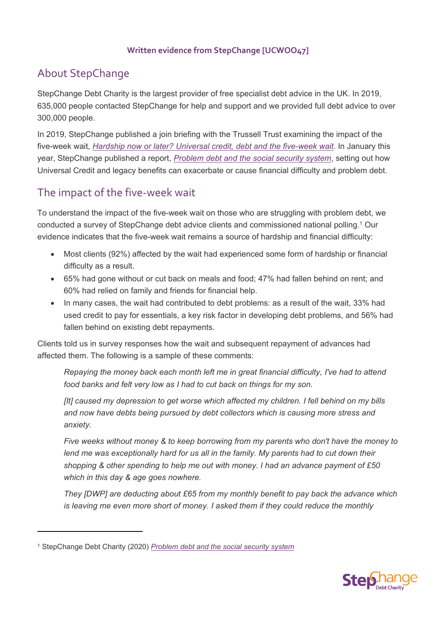#### **Written evidence from StepChange [UCWOO47]**

# About StepChange

StepChange Debt Charity is the largest provider of free specialist debt advice in the UK. In 2019, 635,000 people contacted StepChange for help and support and we provided full debt advice to over 300,000 people.

In 2019, StepChange published a join briefing with the Trussell Trust examining the impact of the five-week wait, *[Hardship](https://www.trusselltrust.org/wp-content/uploads/sites/2/2019/06/StepChangeBriefing.pdf) [now](https://www.trusselltrust.org/wp-content/uploads/sites/2/2019/06/StepChangeBriefing.pdf) [or](https://www.trusselltrust.org/wp-content/uploads/sites/2/2019/06/StepChangeBriefing.pdf) [later?](https://www.trusselltrust.org/wp-content/uploads/sites/2/2019/06/StepChangeBriefing.pdf) [Universal](https://www.trusselltrust.org/wp-content/uploads/sites/2/2019/06/StepChangeBriefing.pdf) [credit,](https://www.trusselltrust.org/wp-content/uploads/sites/2/2019/06/StepChangeBriefing.pdf) [debt](https://www.trusselltrust.org/wp-content/uploads/sites/2/2019/06/StepChangeBriefing.pdf) [and](https://www.trusselltrust.org/wp-content/uploads/sites/2/2019/06/StepChangeBriefing.pdf) [the](https://www.trusselltrust.org/wp-content/uploads/sites/2/2019/06/StepChangeBriefing.pdf) [five-week](https://www.trusselltrust.org/wp-content/uploads/sites/2/2019/06/StepChangeBriefing.pdf) [wait](https://www.trusselltrust.org/wp-content/uploads/sites/2/2019/06/StepChangeBriefing.pdf)*. In January this year, StepChange published a report, *[Problem](https://www.stepchange.org/Portals/0/assets/pdf/social-security-mini-brief-report.pdf) [debt](https://www.stepchange.org/Portals/0/assets/pdf/social-security-mini-brief-report.pdf) [and](https://www.stepchange.org/Portals/0/assets/pdf/social-security-mini-brief-report.pdf) [the](https://www.stepchange.org/Portals/0/assets/pdf/social-security-mini-brief-report.pdf) [social](https://www.stepchange.org/Portals/0/assets/pdf/social-security-mini-brief-report.pdf) [security](https://www.stepchange.org/Portals/0/assets/pdf/social-security-mini-brief-report.pdf) [system](https://www.stepchange.org/Portals/0/assets/pdf/social-security-mini-brief-report.pdf)*, setting out how Universal Credit and legacy benefits can exacerbate or cause financial difficulty and problem debt.

### The impact of the five-week wait

To understand the impact of the five-week wait on those who are struggling with problem debt, we conducted a survey of StepChange debt advice clients and commissioned national polling.<sup>1</sup> Our evidence indicates that the five-week wait remains a source of hardship and financial difficulty:

- Most clients (92%) affected by the wait had experienced some form of hardship or financial difficulty as a result.
- 65% had gone without or cut back on meals and food; 47% had fallen behind on rent; and 60% had relied on family and friends for financial help.
- In many cases, the wait had contributed to debt problems: as a result of the wait, 33% had used credit to pay for essentials, a key risk factor in developing debt problems, and 56% had fallen behind on existing debt repayments.

Clients told us in survey responses how the wait and subsequent repayment of advances had affected them. The following is a sample of these comments:

*Repaying the money back each month left me in great financial difficulty, I've had to attend food banks and felt very low as I had to cut back on things for my son.*

*[It] caused my depression to get worse which affected my children. I fell behind on my bills and now have debts being pursued by debt collectors which is causing more stress and anxiety.*

*Five weeks without money & to keep borrowing from my parents who don't have the money to lend me was exceptionally hard for us all in the family. My parents had to cut down their shopping & other spending to help me out with money. I had an advance payment of £50 which in this day & age goes nowhere.*

*They [DWP] are deducting about £65 from my monthly benefit to pay back the advance which is leaving me even more short of money. I asked them if they could reduce the monthly*



<sup>1</sup> StepChange Debt Charity (2020) *[Problem](https://www.stepchange.org/Portals/0/assets/pdf/social-security-mini-brief-report.pdf) [debt](https://www.stepchange.org/Portals/0/assets/pdf/social-security-mini-brief-report.pdf) [and](https://www.stepchange.org/Portals/0/assets/pdf/social-security-mini-brief-report.pdf) [the](https://www.stepchange.org/Portals/0/assets/pdf/social-security-mini-brief-report.pdf) [social](https://www.stepchange.org/Portals/0/assets/pdf/social-security-mini-brief-report.pdf) [security](https://www.stepchange.org/Portals/0/assets/pdf/social-security-mini-brief-report.pdf) [system](https://www.stepchange.org/Portals/0/assets/pdf/social-security-mini-brief-report.pdf)*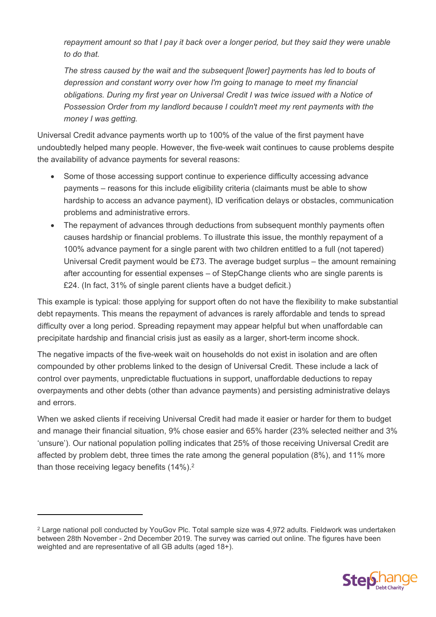*repayment amount so that I pay it back over a longer period, but they said they were unable to do that.*

*The stress caused by the wait and the subsequent [lower] payments has led to bouts of depression and constant worry over how I'm going to manage to meet my financial obligations. During my first year on Universal Credit I was twice issued with a Notice of Possession Order from my landlord because I couldn't meet my rent payments with the money I was getting.*

Universal Credit advance payments worth up to 100% of the value of the first payment have undoubtedly helped many people. However, the five-week wait continues to cause problems despite the availability of advance payments for several reasons:

- Some of those accessing support continue to experience difficulty accessing advance payments – reasons for this include eligibility criteria (claimants must be able to show hardship to access an advance payment), ID verification delays or obstacles, communication problems and administrative errors.
- The repayment of advances through deductions from subsequent monthly payments often causes hardship or financial problems. To illustrate this issue, the monthly repayment of a 100% advance payment for a single parent with two children entitled to a full (not tapered) Universal Credit payment would be £73. The average budget surplus  $-$  the amount remaining after accounting for essential expenses – of StepChange clients who are single parents is £24. (In fact, 31% of single parent clients have a budget deficit.)

This example is typical: those applying for support often do not have the flexibility to make substantial debt repayments. This means the repayment of advances is rarely affordable and tends to spread difficulty over a long period. Spreading repayment may appear helpful but when unaffordable can precipitate hardship and financial crisis just as easily as a larger, short-term income shock.

The negative impacts of the five-week wait on households do not exist in isolation and are often compounded by other problems linked to the design of Universal Credit. These include a lack of control over payments, unpredictable fluctuations in support, unaffordable deductions to repay overpayments and other debts (other than advance payments) and persisting administrative delays and errors.

When we asked clients if receiving Universal Credit had made it easier or harder for them to budget and manage their financial situation, 9% chose easier and 65% harder (23% selected neither and 3% 'unsure'). Our national population polling indicates that 25% of those receiving Universal Credit are affected by problem debt, three times the rate among the general population (8%), and 11% more than those receiving legacy benefits (14%).<sup>2</sup>

<sup>&</sup>lt;sup>2</sup> Large national poll conducted by YouGov Plc. Total sample size was 4,972 adults. Fieldwork was undertaken between 28th November - 2nd December 2019. The survey was carried out online. The figures have been weighted and are representative of all GB adults (aged 18+).

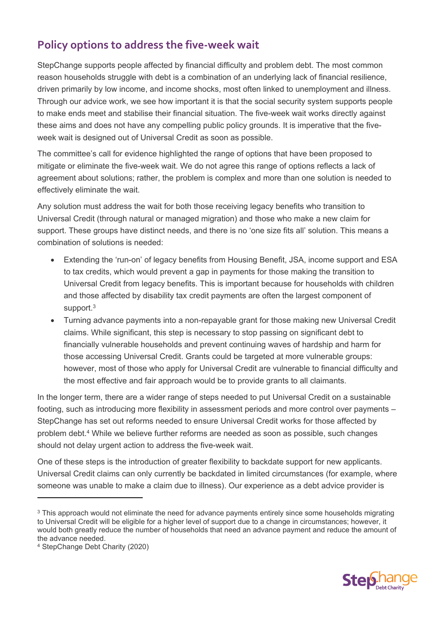# **Policy options to address the five-week wait**

StepChange supports people affected by financial difficulty and problem debt. The most common reason households struggle with debt is a combination of an underlying lack of financial resilience, driven primarily by low income, and income shocks, most often linked to unemployment and illness. Through our advice work, we see how important it is that the social security system supports people to make ends meet and stabilise their financial situation. The five-week wait works directly against these aims and does not have any compelling public policy grounds. It is imperative that the fiveweek wait is designed out of Universal Credit as soon as possible.

The committee's call for evidence highlighted the range of options that have been proposed to mitigate or eliminate the five-week wait. We do not agree this range of options reflects a lack of agreement about solutions; rather, the problem is complex and more than one solution is needed to effectively eliminate the wait.

Any solution must address the wait for both those receiving legacy benefits who transition to Universal Credit (through natural or managed migration) and those who make a new claim for support. These groups have distinct needs, and there is no 'one size fits all' solution. This means a combination of solutions is needed:

- Extending the 'run-on' of legacy benefits from Housing Benefit, JSA, income support and ESA to tax credits, which would prevent a gap in payments for those making the transition to Universal Credit from legacy benefits. This is important because for households with children and those affected by disability tax credit payments are often the largest component of support.<sup>3</sup>
- Turning advance payments into a non-repayable grant for those making new Universal Credit claims. While significant, this step is necessary to stop passing on significant debt to financially vulnerable households and prevent continuing waves of hardship and harm for those accessing Universal Credit. Grants could be targeted at more vulnerable groups: however, most of those who apply for Universal Credit are vulnerable to financial difficulty and the most effective and fair approach would be to provide grants to all claimants.

In the longer term, there are a wider range of steps needed to put Universal Credit on a sustainable footing, such as introducing more flexibility in assessment periods and more control over payments – StepChange has set out reforms needed to ensure Universal Credit works for those affected by problem debt.<sup>4</sup> While we believe further reforms are needed as soon as possible, such changes should not delay urgent action to address the five-week wait.

One of these steps is the introduction of greater flexibility to backdate support for new applicants. Universal Credit claims can only currently be backdated in limited circumstances (for example, where someone was unable to make a claim due to illness). Our experience as a debt advice provider is



<sup>&</sup>lt;sup>3</sup> This approach would not eliminate the need for advance payments entirely since some households migrating to Universal Credit will be eligible for a higher level of support due to a change in circumstances; however, it would both greatly reduce the number of households that need an advance payment and reduce the amount of the advance needed.

<sup>4</sup> StepChange Debt Charity (2020)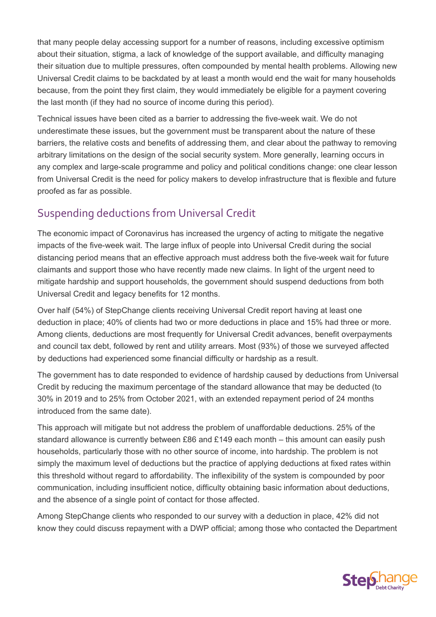that many people delay accessing support for a number of reasons, including excessive optimism about their situation, stigma, a lack of knowledge of the support available, and difficulty managing their situation due to multiple pressures, often compounded by mental health problems. Allowing new Universal Credit claims to be backdated by at least a month would end the wait for many households because, from the point they first claim, they would immediately be eligible for a payment covering the last month (if they had no source of income during this period).

Technical issues have been cited as a barrier to addressing the five-week wait. We do not underestimate these issues, but the government must be transparent about the nature of these barriers, the relative costs and benefits of addressing them, and clear about the pathway to removing arbitrary limitations on the design of the social security system. More generally, learning occurs in any complex and large-scale programme and policy and political conditions change: one clear lesson from Universal Credit is the need for policy makers to develop infrastructure that is flexible and future proofed as far as possible.

# Suspending deductions from Universal Credit

The economic impact of Coronavirus has increased the urgency of acting to mitigate the negative impacts of the five-week wait. The large influx of people into Universal Credit during the social distancing period means that an effective approach must address both the five-week wait for future claimants and support those who have recently made new claims. In light of the urgent need to mitigate hardship and support households, the government should suspend deductions from both Universal Credit and legacy benefits for 12 months.

Over half (54%) of StepChange clients receiving Universal Credit report having at least one deduction in place; 40% of clients had two or more deductions in place and 15% had three or more. Among clients, deductions are most frequently for Universal Credit advances, benefit overpayments and council tax debt, followed by rent and utility arrears. Most (93%) of those we surveyed affected by deductions had experienced some financial difficulty or hardship as a result.

The government has to date responded to evidence of hardship caused by deductions from Universal Credit by reducing the maximum percentage of the standard allowance that may be deducted (to 30% in 2019 and to 25% from October 2021, with an extended repayment period of 24 months introduced from the same date).

This approach will mitigate but not address the problem of unaffordable deductions. 25% of the standard allowance is currently between £86 and £149 each month – this amount can easily push households, particularly those with no other source of income, into hardship. The problem is not simply the maximum level of deductions but the practice of applying deductions at fixed rates within this threshold without regard to affordability. The inflexibility of the system is compounded by poor communication, including insufficient notice, difficulty obtaining basic information about deductions, and the absence of a single point of contact for those affected.

Among StepChange clients who responded to our survey with a deduction in place, 42% did not know they could discuss repayment with a DWP official; among those who contacted the Department